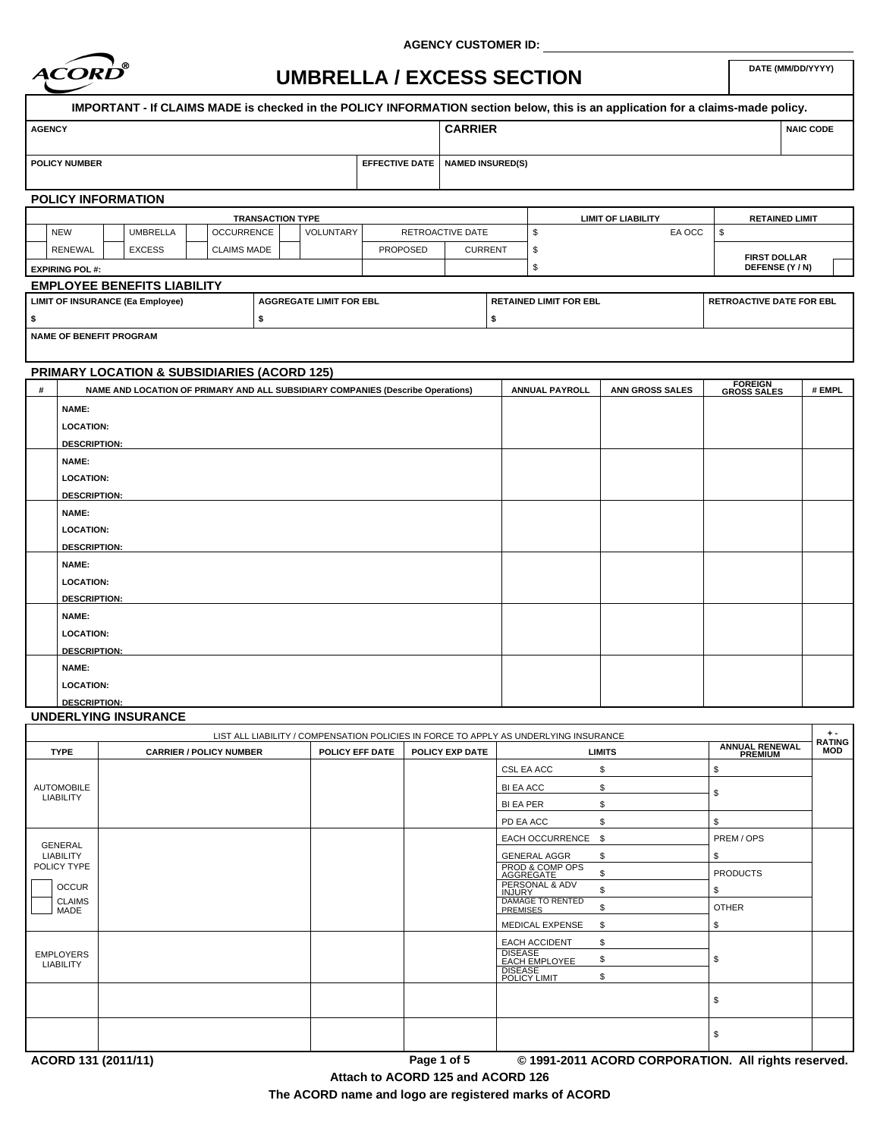

**AGENCY CUSTOMER ID:**

# **DATE (MM/DD/YYYY) UMBRELLA / EXCESS SECTION**

| <b>AGENCY</b>                                                      |  |                 |  |                         |                       |                               | <b>CARRIER</b>   |  |                                 |                           |                 | <b>NAIC CODE</b>      |
|--------------------------------------------------------------------|--|-----------------|--|-------------------------|-----------------------|-------------------------------|------------------|--|---------------------------------|---------------------------|-----------------|-----------------------|
|                                                                    |  |                 |  |                         |                       |                               |                  |  |                                 |                           |                 |                       |
| <b>POLICY NUMBER</b>                                               |  |                 |  |                         | <b>EFFECTIVE DATE</b> | <b>NAMED INSURED(S)</b>       |                  |  |                                 |                           |                 |                       |
|                                                                    |  |                 |  |                         |                       |                               |                  |  |                                 |                           |                 |                       |
| <b>POLICY INFORMATION</b>                                          |  |                 |  |                         |                       |                               |                  |  |                                 |                           |                 |                       |
|                                                                    |  |                 |  | <b>TRANSACTION TYPE</b> |                       |                               |                  |  |                                 | <b>LIMIT OF LIABILITY</b> |                 | <b>RETAINED LIMIT</b> |
| <b>NEW</b>                                                         |  | <b>UMBRELLA</b> |  | <b>OCCURRENCE</b>       | <b>VOLUNTARY</b>      |                               | RETROACTIVE DATE |  |                                 | EA OCC                    | \$              |                       |
| <b>RENEWAL</b>                                                     |  | <b>EXCESS</b>   |  | <b>CLAIMS MADE</b>      |                       | <b>PROPOSED</b>               | <b>CURRENT</b>   |  | -S                              |                           |                 | <b>FIRST DOLLAR</b>   |
| <b>EXPIRING POL #:</b>                                             |  |                 |  |                         |                       |                               |                  |  |                                 |                           | DEFENSE (Y / N) |                       |
| <b>EMPLOYEE BENEFITS LIABILITY</b>                                 |  |                 |  |                         |                       |                               |                  |  |                                 |                           |                 |                       |
| LIMIT OF INSURANCE (Ea Employee)<br><b>AGGREGATE LIMIT FOR EBL</b> |  |                 |  |                         |                       | <b>RETAINED LIMIT FOR EBL</b> |                  |  | <b>RETROACTIVE DATE FOR EBL</b> |                           |                 |                       |
| ا \$                                                               |  |                 |  |                         |                       |                               |                  |  |                                 |                           |                 |                       |

# **PRIMARY LOCATION & SUBSIDIARIES (ACORD 125)**

| # | NAME AND LOCATION OF PRIMARY AND ALL SUBSIDIARY COMPANIES (Describe Operations) | <b>ANNUAL PAYROLL</b> | ANN GROSS SALES | <b>FOREIGN<br/>GROSS SALES</b> | # EMPL |
|---|---------------------------------------------------------------------------------|-----------------------|-----------------|--------------------------------|--------|
|   | NAME:                                                                           |                       |                 |                                |        |
|   | <b>LOCATION:</b>                                                                |                       |                 |                                |        |
|   | <b>DESCRIPTION:</b>                                                             |                       |                 |                                |        |
|   | <b>NAME:</b>                                                                    |                       |                 |                                |        |
|   | <b>LOCATION:</b>                                                                |                       |                 |                                |        |
|   | <b>DESCRIPTION:</b>                                                             |                       |                 |                                |        |
|   | NAME:                                                                           |                       |                 |                                |        |
|   | <b>LOCATION:</b>                                                                |                       |                 |                                |        |
|   | <b>DESCRIPTION:</b>                                                             |                       |                 |                                |        |
|   | <b>NAME:</b>                                                                    |                       |                 |                                |        |
|   | <b>LOCATION:</b>                                                                |                       |                 |                                |        |
|   | <b>DESCRIPTION:</b>                                                             |                       |                 |                                |        |
|   | NAME:                                                                           |                       |                 |                                |        |
|   | <b>LOCATION:</b>                                                                |                       |                 |                                |        |
|   | <b>DESCRIPTION:</b>                                                             |                       |                 |                                |        |
|   | <b>NAME:</b>                                                                    |                       |                 |                                |        |
|   | <b>LOCATION:</b>                                                                |                       |                 |                                |        |
|   | <b>DESCRIPTION:</b>                                                             |                       |                 |                                |        |

## **UNDERLYING INSURANCE**

| <b>ANNUAL RENEWAL</b><br><b>MOD</b><br>PREMIUM |
|------------------------------------------------|
|                                                |
|                                                |
|                                                |
|                                                |
|                                                |
| PREM / OPS                                     |
|                                                |
| <b>PRODUCTS</b>                                |
|                                                |
| <b>OTHER</b>                                   |
|                                                |
|                                                |
|                                                |
|                                                |
|                                                |
|                                                |
|                                                |
|                                                |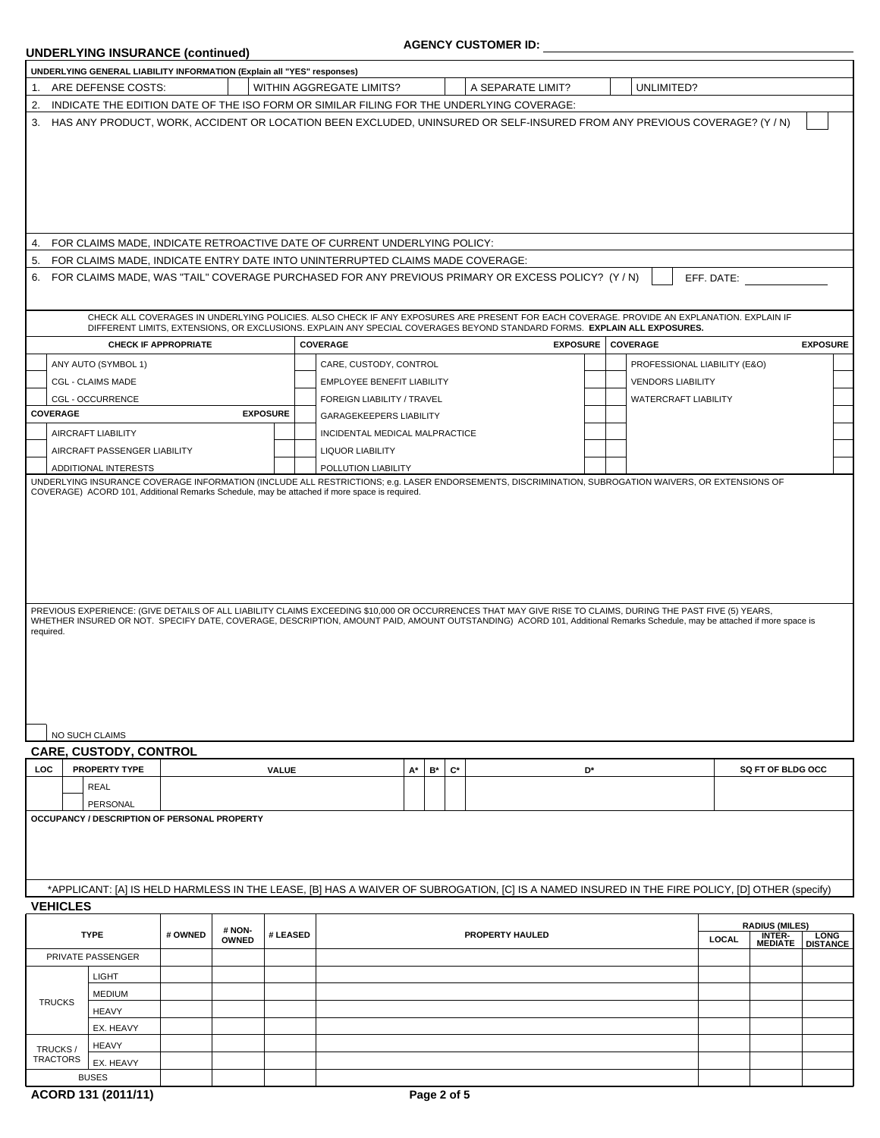# **UNDERLYING INSURANCE (continued)**

# **AGENCY CUSTOMER ID:**

|                                                                                                                                                                                                                                                                         | UNDERLYING GENERAL LIABILITY INFORMATION (Explain all "YES" responses) |                             |                 |                 |                                                                                                                                                                                                                                                                                     |    |                         |                        |                 |                              |              |                                                   |                         |
|-------------------------------------------------------------------------------------------------------------------------------------------------------------------------------------------------------------------------------------------------------------------------|------------------------------------------------------------------------|-----------------------------|-----------------|-----------------|-------------------------------------------------------------------------------------------------------------------------------------------------------------------------------------------------------------------------------------------------------------------------------------|----|-------------------------|------------------------|-----------------|------------------------------|--------------|---------------------------------------------------|-------------------------|
| 1.<br>2.                                                                                                                                                                                                                                                                | ARE DEFENSE COSTS:                                                     |                             |                 |                 | WITHIN AGGREGATE LIMITS?                                                                                                                                                                                                                                                            |    |                         | A SEPARATE LIMIT?      |                 | UNLIMITED?                   |              |                                                   |                         |
|                                                                                                                                                                                                                                                                         |                                                                        |                             |                 |                 | INDICATE THE EDITION DATE OF THE ISO FORM OR SIMILAR FILING FOR THE UNDERLYING COVERAGE:                                                                                                                                                                                            |    |                         |                        |                 |                              |              |                                                   |                         |
|                                                                                                                                                                                                                                                                         |                                                                        |                             |                 |                 | HAS ANY PRODUCT, WORK, ACCIDENT OR LOCATION BEEN EXCLUDED, UNINSURED OR SELF-INSURED FROM ANY PREVIOUS COVERAGE? (Y/N)<br>FOR CLAIMS MADE, INDICATE RETROACTIVE DATE OF CURRENT UNDERLYING POLICY:<br>FOR CLAIMS MADE, INDICATE ENTRY DATE INTO UNINTERRUPTED CLAIMS MADE COVERAGE: |    |                         |                        |                 |                              |              |                                                   |                         |
|                                                                                                                                                                                                                                                                         |                                                                        |                             |                 |                 | FOR CLAIMS MADE, WAS "TAIL" COVERAGE PURCHASED FOR ANY PREVIOUS PRIMARY OR EXCESS POLICY? (Y/N)                                                                                                                                                                                     |    |                         |                        |                 |                              | EFF. DATE:   |                                                   |                         |
|                                                                                                                                                                                                                                                                         |                                                                        |                             |                 |                 | CHECK ALL COVERAGES IN UNDERLYING POLICIES. ALSO CHECK IF ANY EXPOSURES ARE PRESENT FOR EACH COVERAGE. PROVIDE AN EXPLANATION. EXPLAIN IF<br>DIFFERENT LIMITS, EXTENSIONS, OR EXCLUSIONS. EXPLAIN ANY SPECIAL COVERAGES BEYOND STANDARD FORMS. EXPLAIN ALL EXPOSURES.               |    |                         |                        |                 |                              |              |                                                   |                         |
|                                                                                                                                                                                                                                                                         |                                                                        | <b>CHECK IF APPROPRIATE</b> |                 |                 | COVERAGE                                                                                                                                                                                                                                                                            |    |                         |                        | <b>EXPOSURE</b> | <b>COVERAGE</b>              |              |                                                   | <b>EXPOSURE</b>         |
|                                                                                                                                                                                                                                                                         | ANY AUTO (SYMBOL 1)                                                    |                             |                 |                 | CARE, CUSTODY, CONTROL                                                                                                                                                                                                                                                              |    |                         |                        |                 | PROFESSIONAL LIABILITY (E&O) |              |                                                   |                         |
|                                                                                                                                                                                                                                                                         | <b>CGL - CLAIMS MADE</b>                                               |                             |                 |                 | <b>EMPLOYEE BENEFIT LIABILITY</b>                                                                                                                                                                                                                                                   |    |                         |                        |                 | <b>VENDORS LIABILITY</b>     |              |                                                   |                         |
|                                                                                                                                                                                                                                                                         | <b>CGL - OCCURRENCE</b>                                                |                             |                 |                 | FOREIGN LIABILITY / TRAVEL                                                                                                                                                                                                                                                          |    |                         |                        |                 | WATERCRAFT LIABILITY         |              |                                                   |                         |
| <b>COVERAGE</b>                                                                                                                                                                                                                                                         |                                                                        |                             |                 | <b>EXPOSURE</b> | <b>GARAGEKEEPERS LIABILITY</b>                                                                                                                                                                                                                                                      |    |                         |                        |                 |                              |              |                                                   |                         |
|                                                                                                                                                                                                                                                                         | <b>AIRCRAFT LIABILITY</b>                                              |                             |                 |                 | INCIDENTAL MEDICAL MALPRACTICE                                                                                                                                                                                                                                                      |    |                         |                        |                 |                              |              |                                                   |                         |
|                                                                                                                                                                                                                                                                         | AIRCRAFT PASSENGER LIABILITY                                           |                             |                 |                 | <b>LIQUOR LIABILITY</b>                                                                                                                                                                                                                                                             |    |                         |                        |                 |                              |              |                                                   |                         |
|                                                                                                                                                                                                                                                                         | ADDITIONAL INTERESTS                                                   |                             |                 |                 | POLLUTION LIABILITY                                                                                                                                                                                                                                                                 |    |                         |                        |                 |                              |              |                                                   |                         |
|                                                                                                                                                                                                                                                                         |                                                                        |                             |                 |                 | PREVIOUS EXPERIENCE: (GIVE DETAILS OF ALL LIABILITY CLAIMS EXCEEDING \$10,000 OR OCCURRENCES THAT MAY GIVE RISE TO CLAIMS, DURING THE PAST FIVE (5) YEARS,                                                                                                                          |    |                         |                        |                 |                              |              |                                                   |                         |
|                                                                                                                                                                                                                                                                         |                                                                        |                             |                 |                 | WHETHER INSURED OR NOT. SPECIFY DATE, COVERAGE, DESCRIPTION, AMOUNT PAID, AMOUNT OUTSTANDING) ACORD 101, Additional Remarks Schedule, may be attached if more space is                                                                                                              |    |                         |                        |                 |                              |              |                                                   |                         |
|                                                                                                                                                                                                                                                                         | NO SUCH CLAIMS                                                         |                             |                 |                 |                                                                                                                                                                                                                                                                                     |    |                         |                        |                 |                              |              |                                                   |                         |
|                                                                                                                                                                                                                                                                         | <b>CARE, CUSTODY, CONTROL</b>                                          |                             |                 |                 |                                                                                                                                                                                                                                                                                     |    |                         |                        |                 |                              |              |                                                   |                         |
|                                                                                                                                                                                                                                                                         | PROPERTY TYPE                                                          |                             |                 | <b>VALUE</b>    |                                                                                                                                                                                                                                                                                     | А* | $B^*$<br>$\mathbf{C}^*$ |                        | D*              |                              |              | SQ FT OF BLDG OCC                                 |                         |
|                                                                                                                                                                                                                                                                         | REAL                                                                   |                             |                 |                 |                                                                                                                                                                                                                                                                                     |    |                         |                        |                 |                              |              |                                                   |                         |
| UNDERLYING INSURANCE COVERAGE INFORMATION (INCLUDE ALL RESTRICTIONS; e.g. LASER ENDORSEMENTS, DISCRIMINATION, SUBROGATION WAIVERS, OR EXTENSIONS OF<br>COVERAGE) ACORD 101, Additional Remarks Schedule, may be attached if more space is required.<br>required.<br>LOC | PERSONAL<br>OCCUPANCY / DESCRIPTION OF PERSONAL PROPERTY               |                             |                 |                 |                                                                                                                                                                                                                                                                                     |    |                         |                        |                 |                              |              |                                                   |                         |
|                                                                                                                                                                                                                                                                         |                                                                        |                             |                 |                 | *APPLICANT: [A] IS HELD HARMLESS IN THE LEASE, [B] HAS A WAIVER OF SUBROGATION, [C] IS A NAMED INSURED IN THE FIRE POLICY, [D] OTHER (specify)                                                                                                                                      |    |                         |                        |                 |                              |              |                                                   |                         |
|                                                                                                                                                                                                                                                                         |                                                                        |                             |                 |                 |                                                                                                                                                                                                                                                                                     |    |                         |                        |                 |                              |              |                                                   |                         |
|                                                                                                                                                                                                                                                                         | <b>TYPE</b>                                                            | # OWNED                     | # NON-<br>OWNED | # LEASED        |                                                                                                                                                                                                                                                                                     |    |                         | <b>PROPERTY HAULED</b> |                 |                              | <b>LOCAL</b> | <b>RADIUS (MILES)</b><br>INTER-<br><b>MEDIATE</b> | LONG<br><b>DISTANCE</b> |
|                                                                                                                                                                                                                                                                         | PRIVATE PASSENGER                                                      |                             |                 |                 |                                                                                                                                                                                                                                                                                     |    |                         |                        |                 |                              |              |                                                   |                         |
|                                                                                                                                                                                                                                                                         | LIGHT                                                                  |                             |                 |                 |                                                                                                                                                                                                                                                                                     |    |                         |                        |                 |                              |              |                                                   |                         |
| <b>VEHICLES</b>                                                                                                                                                                                                                                                         | <b>MEDIUM</b>                                                          |                             |                 |                 |                                                                                                                                                                                                                                                                                     |    |                         |                        |                 |                              |              |                                                   |                         |
| <b>TRUCKS</b>                                                                                                                                                                                                                                                           | <b>HEAVY</b>                                                           |                             |                 |                 |                                                                                                                                                                                                                                                                                     |    |                         |                        |                 |                              |              |                                                   |                         |
|                                                                                                                                                                                                                                                                         | EX. HEAVY                                                              |                             |                 |                 |                                                                                                                                                                                                                                                                                     |    |                         |                        |                 |                              |              |                                                   |                         |
|                                                                                                                                                                                                                                                                         | <b>HEAVY</b>                                                           |                             |                 |                 |                                                                                                                                                                                                                                                                                     |    |                         |                        |                 |                              |              |                                                   |                         |
| TRUCKS/<br><b>TRACTORS</b>                                                                                                                                                                                                                                              | EX. HEAVY                                                              |                             |                 |                 |                                                                                                                                                                                                                                                                                     |    |                         |                        |                 |                              |              |                                                   |                         |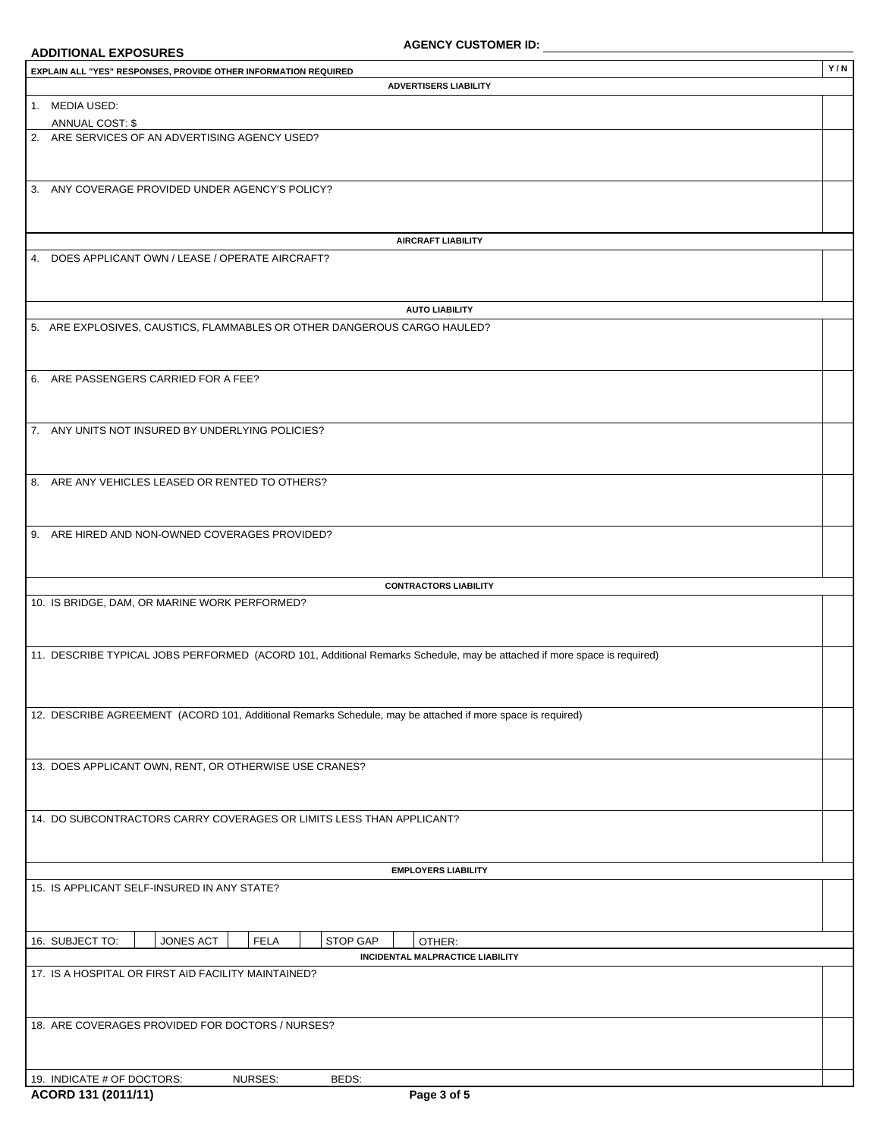#### **ADDITIONAL EXPOSURES**

| EXPLAIN ALL "YES" RESPONSES, PROVIDE OTHER INFORMATION REQUIRED                                                         | Y/N |
|-------------------------------------------------------------------------------------------------------------------------|-----|
| <b>ADVERTISERS LIABILITY</b>                                                                                            |     |
| 1. MEDIA USED:                                                                                                          |     |
| ANNUAL COST: \$                                                                                                         |     |
| 2. ARE SERVICES OF AN ADVERTISING AGENCY USED?                                                                          |     |
|                                                                                                                         |     |
|                                                                                                                         |     |
| 3. ANY COVERAGE PROVIDED UNDER AGENCY'S POLICY?                                                                         |     |
|                                                                                                                         |     |
|                                                                                                                         |     |
| <b>AIRCRAFT LIABILITY</b>                                                                                               |     |
| 4. DOES APPLICANT OWN / LEASE / OPERATE AIRCRAFT?                                                                       |     |
|                                                                                                                         |     |
|                                                                                                                         |     |
| <b>AUTO LIABILITY</b>                                                                                                   |     |
| 5. ARE EXPLOSIVES, CAUSTICS, FLAMMABLES OR OTHER DANGEROUS CARGO HAULED?                                                |     |
|                                                                                                                         |     |
|                                                                                                                         |     |
| 6. ARE PASSENGERS CARRIED FOR A FEE?                                                                                    |     |
|                                                                                                                         |     |
|                                                                                                                         |     |
| 7. ANY UNITS NOT INSURED BY UNDERLYING POLICIES?                                                                        |     |
|                                                                                                                         |     |
|                                                                                                                         |     |
| 8. ARE ANY VEHICLES LEASED OR RENTED TO OTHERS?                                                                         |     |
|                                                                                                                         |     |
|                                                                                                                         |     |
| 9. ARE HIRED AND NON-OWNED COVERAGES PROVIDED?                                                                          |     |
|                                                                                                                         |     |
|                                                                                                                         |     |
| <b>CONTRACTORS LIABILITY</b>                                                                                            |     |
| 10. IS BRIDGE, DAM, OR MARINE WORK PERFORMED?                                                                           |     |
|                                                                                                                         |     |
|                                                                                                                         |     |
| 11. DESCRIBE TYPICAL JOBS PERFORMED (ACORD 101, Additional Remarks Schedule, may be attached if more space is required) |     |
|                                                                                                                         |     |
|                                                                                                                         |     |
|                                                                                                                         |     |
| 12. DESCRIBE AGREEMENT (ACORD 101, Additional Remarks Schedule, may be attached if more space is required)              |     |
|                                                                                                                         |     |
|                                                                                                                         |     |
| 13. DOES APPLICANT OWN, RENT, OR OTHERWISE USE CRANES?                                                                  |     |
|                                                                                                                         |     |
|                                                                                                                         |     |
| 14. DO SUBCONTRACTORS CARRY COVERAGES OR LIMITS LESS THAN APPLICANT?                                                    |     |
|                                                                                                                         |     |
|                                                                                                                         |     |
| <b>EMPLOYERS LIABILITY</b>                                                                                              |     |
| 15. IS APPLICANT SELF-INSURED IN ANY STATE?                                                                             |     |
|                                                                                                                         |     |
|                                                                                                                         |     |
| JONES ACT<br>FELA<br>16. SUBJECT TO:<br>STOP GAP<br>OTHER:                                                              |     |
| INCIDENTAL MALPRACTICE LIABILITY                                                                                        |     |
| 17. IS A HOSPITAL OR FIRST AID FACILITY MAINTAINED?                                                                     |     |
|                                                                                                                         |     |
|                                                                                                                         |     |
| 18. ARE COVERAGES PROVIDED FOR DOCTORS / NURSES?                                                                        |     |
|                                                                                                                         |     |
|                                                                                                                         |     |
| NURSES:<br>BEDS:<br>19. INDICATE # OF DOCTORS:                                                                          |     |
|                                                                                                                         |     |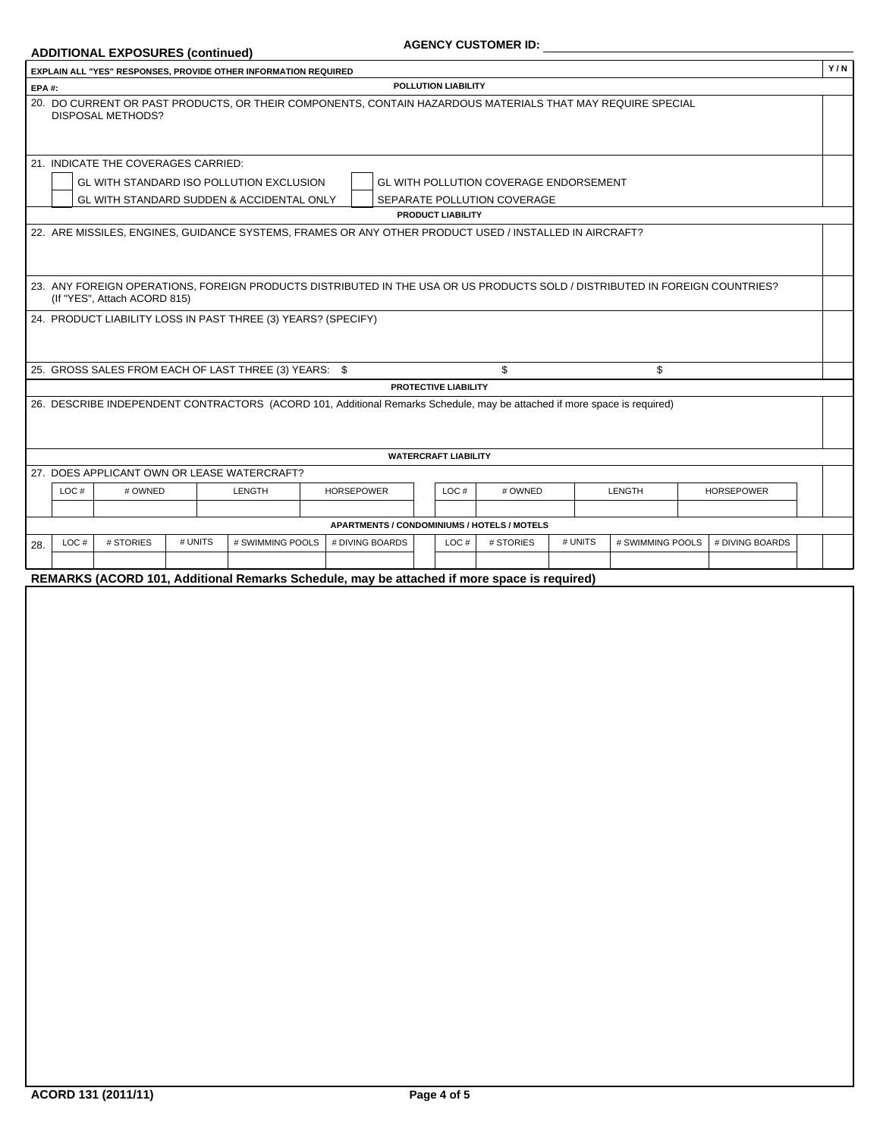## **ADDITIONAL EXPOSURES (continued)**

| EXPLAIN ALL "YES" RESPONSES, PROVIDE OTHER INFORMATION REQUIRED                                                                                             | Y/N |
|-------------------------------------------------------------------------------------------------------------------------------------------------------------|-----|
| POLLUTION LIABILITY<br>EPA#:                                                                                                                                |     |
| 20. DO CURRENT OR PAST PRODUCTS, OR THEIR COMPONENTS, CONTAIN HAZARDOUS MATERIALS THAT MAY REQUIRE SPECIAL<br><b>DISPOSAL METHODS?</b>                      |     |
| 21. INDICATE THE COVERAGES CARRIED:                                                                                                                         |     |
| GL WITH STANDARD ISO POLLUTION EXCLUSION<br>GL WITH POLLUTION COVERAGE ENDORSEMENT                                                                          |     |
| GL WITH STANDARD SUDDEN & ACCIDENTAL ONLY<br>SEPARATE POLLUTION COVERAGE                                                                                    |     |
| <b>PRODUCT LIABILITY</b>                                                                                                                                    |     |
| 22. ARE MISSILES, ENGINES, GUIDANCE SYSTEMS, FRAMES OR ANY OTHER PRODUCT USED / INSTALLED IN AIRCRAFT?                                                      |     |
| 23. ANY FOREIGN OPERATIONS, FOREIGN PRODUCTS DISTRIBUTED IN THE USA OR US PRODUCTS SOLD / DISTRIBUTED IN FOREIGN COUNTRIES?<br>(If "YES", Attach ACORD 815) |     |
| 24. PRODUCT LIABILITY LOSS IN PAST THREE (3) YEARS? (SPECIFY)                                                                                               |     |
| 25. GROSS SALES FROM EACH OF LAST THREE (3) YEARS: \$<br>\$<br>\$                                                                                           |     |
| PROTECTIVE LIABILITY                                                                                                                                        |     |
| 26. DESCRIBE INDEPENDENT CONTRACTORS (ACORD 101, Additional Remarks Schedule, may be attached if more space is required)                                    |     |
| <b>WATERCRAFT LIABILITY</b>                                                                                                                                 |     |
| 27. DOES APPLICANT OWN OR LEASE WATERCRAFT?                                                                                                                 |     |
| LOC#<br># OWNED<br>LENGTH<br><b>HORSEPOWER</b><br>LOC#<br># OWNED<br>LENGTH<br><b>HORSEPOWER</b>                                                            |     |
|                                                                                                                                                             |     |
| APARTMENTS / CONDOMINIUMS / HOTELS / MOTELS                                                                                                                 |     |
| # UNITS<br># UNITS<br># SWIMMING POOLS<br>LOC#<br># STORIES<br># SWIMMING POOLS<br># DIVING BOARDS<br>LOC#<br># STORIES<br># DIVING BOARDS<br>28.           |     |
|                                                                                                                                                             |     |
| REMARKS (ACORD 101, Additional Remarks Schedule, may be attached if more space is required)                                                                 |     |
|                                                                                                                                                             |     |